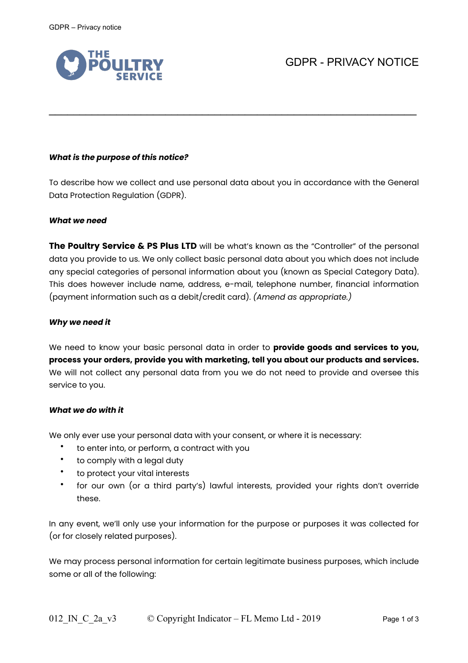

# *What is the purpose of this notice?*

To describe how we collect and use personal data about you in accordance with the General Data Protection Regulation (GDPR).

 $\mathcal{L}_\text{max}$  , and the contract of the contract of the contract of the contract of the contract of the contract of the contract of the contract of the contract of the contract of the contract of the contract of the contr

#### *What we need*

**The Poultry Service & PS Plus LTD** will be what's known as the "Controller" of the personal data you provide to us. We only collect basic personal data about you which does not include any special categories of personal information about you (known as Special Category Data). This does however include name, address, e-mail, telephone number, financial information (payment information such as a debit/credit card). *(Amend as appropriate.)*

### *Why we need it*

We need to know your basic personal data in order to **provide goods and services to you, process your orders, provide you with marketing, tell you about our products and services.**  We will not collect any personal data from you we do not need to provide and oversee this service to you.

### *What we do with it*

We only ever use your personal data with your consent, or where it is necessary:

- to enter into, or perform, a contract with you
- to comply with a legal duty
- to protect your vital interests
- for our own (or a third party's) lawful interests, provided your rights don't override these.

In any event, we'll only use your information for the purpose or purposes it was collected for (or for closely related purposes).

We may process personal information for certain legitimate business purposes, which include some or all of the following: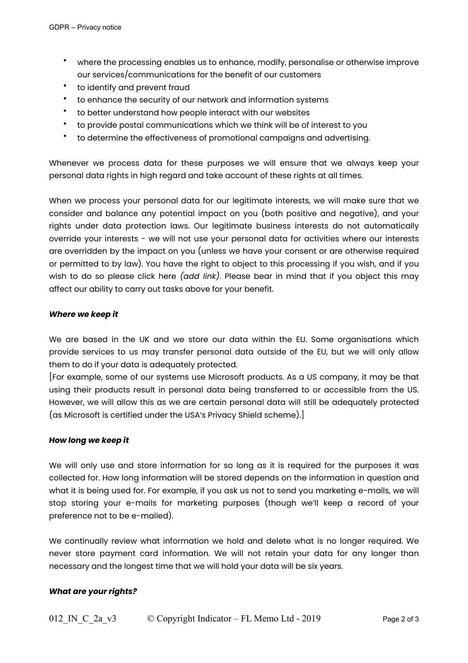- where the processing enables us to enhance, modify, personalise or otherwise improve our services/communications for the benefit of our customers
- to identify and prevent fraud
- to enhance the security of our network and information systems
- to better understand how people interact with our websites
- to provide postal communications which we think will be of interest to you
- to determine the effectiveness of promotional campaigns and advertising.

Whenever we process data for these purposes we will ensure that we always keep your personal data rights in high regard and take account of these rights at all times.

When we process your personal data for our legitimate interests, we will make sure that we consider and balance any potential impact on you (both positive and negative), and your rights under data protection laws. Our legitimate business interests do not automatically override your interests - we will not use your personal data for activities where our interests are overridden by the impact on you (unless we have your consent or are otherwise required or permitted to by law). You have the right to object to this processing if you wish, and if you wish to do so please click here *(add link)*. Please bear in mind that if you object this may affect our ability to carry out tasks above for your benefit.

### *Where we keep it*

We are based in the UK and we store our data within the EU. Some organisations which provide services to us may transfer personal data outside of the EU, but we will only allow them to do if your data is adequately protected.

[For example, some of our systems use Microsoft products. As a US company, it may be that using their products result in personal data being transferred to or accessible from the US. However, we will allow this as we are certain personal data will still be adequately protected (as Microsoft is certified under the USA's Privacy Shield scheme).]

# *How long we keep it*

We will only use and store information for so long as it is required for the purposes it was collected for. How long information will be stored depends on the information in question and what it is being used for. For example, if you ask us not to send you marketing e-mails, we will stop storing your e-mails for marketing purposes (though we'll keep a record of your preference not to be e-mailed).

We continually review what information we hold and delete what is no longer required. We never store payment card information. We will not retain your data for any longer than necessary and the longest time that we will hold your data will be six years.

# *What are your rights?*